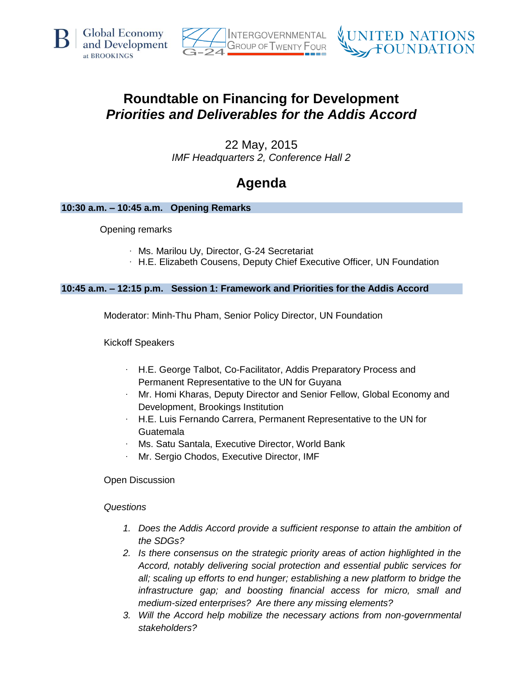





# **Roundtable on Financing for Development** *Priorities and Deliverables for the Addis Accord*

22 May, 2015 *IMF Headquarters 2, Conference Hall 2*

# **Agenda**

## **10:30 a.m. – 10:45 a.m. Opening Remarks**

Opening remarks

- · Ms. Marilou Uy, Director, G-24 Secretariat
- · H.E. Elizabeth Cousens, Deputy Chief Executive Officer, UN Foundation

## **10:45 a.m. – 12:15 p.m. Session 1: Framework and Priorities for the Addis Accord**

Moderator: Minh-Thu Pham, Senior Policy Director, UN Foundation

Kickoff Speakers

- · H.E. George Talbot, Co-Facilitator, Addis Preparatory Process and Permanent Representative to the UN for Guyana
- Mr. Homi Kharas, Deputy Director and Senior Fellow, Global Economy and Development, Brookings Institution
- · H.E. Luis Fernando Carrera, Permanent Representative to the UN for Guatemala
- · Ms. Satu Santala, Executive Director, World Bank
- Mr. Sergio Chodos, Executive Director, IMF

Open Discussion

*Questions*

- 1. Does the Addis Accord provide a sufficient response to attain the ambition of *the SDGs?*
- *2. Is there consensus on the strategic priority areas of action highlighted in the Accord, notably delivering social protection and essential public services for all; scaling up efforts to end hunger; establishing a new platform to bridge the infrastructure gap; and boosting financial access for micro, small and medium-sized enterprises? Are there any missing elements?*
- *3. Will the Accord help mobilize the necessary actions from non-governmental stakeholders?*